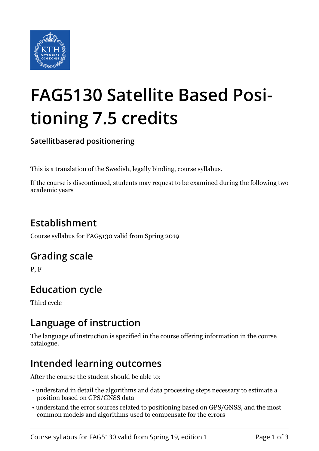

# **FAG5130 Satellite Based Positioning 7.5 credits**

**Satellitbaserad positionering**

This is a translation of the Swedish, legally binding, course syllabus.

If the course is discontinued, students may request to be examined during the following two academic years

# **Establishment**

Course syllabus for FAG5130 valid from Spring 2019

## **Grading scale**

P, F

# **Education cycle**

Third cycle

## **Language of instruction**

The language of instruction is specified in the course offering information in the course catalogue.

## **Intended learning outcomes**

After the course the student should be able to:

- understand in detail the algorithms and data processing steps necessary to estimate a position based on GPS/GNSS data
- understand the error sources related to positioning based on GPS/GNSS, and the most common models and algorithms used to compensate for the errors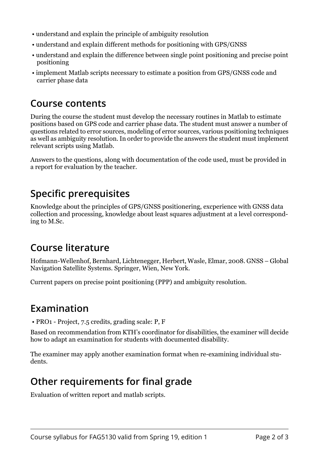- understand and explain the principle of ambiguity resolution
- understand and explain different methods for positioning with GPS/GNSS
- understand and explain the difference between single point positioning and precise point positioning
- implement Matlab scripts necessary to estimate a position from GPS/GNSS code and carrier phase data

#### **Course contents**

During the course the student must develop the necessary routines in Matlab to estimate positions based on GPS code and carrier phase data. The student must answer a number of questions related to error sources, modeling of error sources, various positioning techniques as well as ambiguity resolution. In order to provide the answers the student must implement relevant scripts using Matlab.

Answers to the questions, along with documentation of the code used, must be provided in a report for evaluation by the teacher.

## **Specific prerequisites**

Knowledge about the principles of GPS/GNSS positionering, excperience with GNSS data collection and processing, knowledge about least squares adjustment at a level corresponding to M.Sc.

#### **Course literature**

Hofmann-Wellenhof, Bernhard, Lichtenegger, Herbert, Wasle, Elmar, 2008. GNSS – Global Navigation Satellite Systems. Springer, Wien, New York.

Current papers on precise point positioning (PPP) and ambiguity resolution.

## **Examination**

• PRO1 - Project, 7.5 credits, grading scale: P, F

Based on recommendation from KTH's coordinator for disabilities, the examiner will decide how to adapt an examination for students with documented disability.

The examiner may apply another examination format when re-examining individual students.

## **Other requirements for final grade**

Evaluation of written report and matlab scripts.